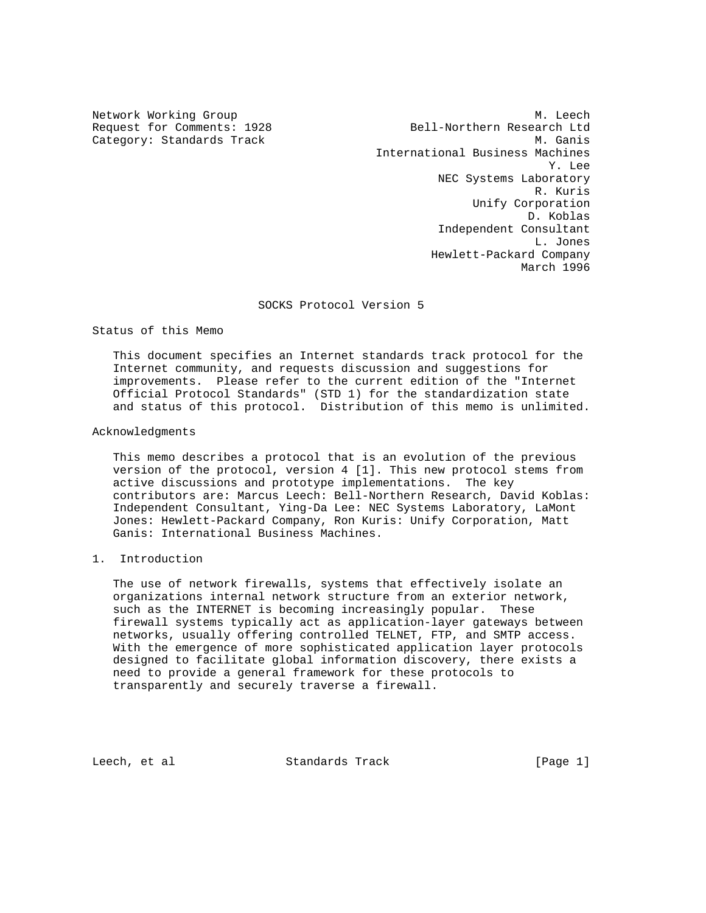Network Working Group Methods and Methods and Methods and Methods and Methods and Methods and Methods and Methods and Methods and Methods and Methods and Methods and Methods and Methods and Methods and Methods and Methods Request for Comments: 1928 Bell-Northern Research Ltd Category: Standards Track Metal Metal Metal Metal Metal Metal Metal Metal Metal Metal Metal Metal Metal Metal International Business Machines Y. Lee NEC Systems Laboratory R. Kuris Unify Corporation D. Koblas Independent Consultant L. Jones Hewlett-Packard Company March 1996

SOCKS Protocol Version 5

Status of this Memo

 This document specifies an Internet standards track protocol for the Internet community, and requests discussion and suggestions for improvements. Please refer to the current edition of the "Internet Official Protocol Standards" (STD 1) for the standardization state and status of this protocol. Distribution of this memo is unlimited.

Acknowledgments

 This memo describes a protocol that is an evolution of the previous version of the protocol, version 4 [1]. This new protocol stems from active discussions and prototype implementations. The key contributors are: Marcus Leech: Bell-Northern Research, David Koblas: Independent Consultant, Ying-Da Lee: NEC Systems Laboratory, LaMont Jones: Hewlett-Packard Company, Ron Kuris: Unify Corporation, Matt Ganis: International Business Machines.

# 1. Introduction

 The use of network firewalls, systems that effectively isolate an organizations internal network structure from an exterior network, such as the INTERNET is becoming increasingly popular. These firewall systems typically act as application-layer gateways between networks, usually offering controlled TELNET, FTP, and SMTP access. With the emergence of more sophisticated application layer protocols designed to facilitate global information discovery, there exists a need to provide a general framework for these protocols to transparently and securely traverse a firewall.

Leech, et al **Standards Track** [Page 1]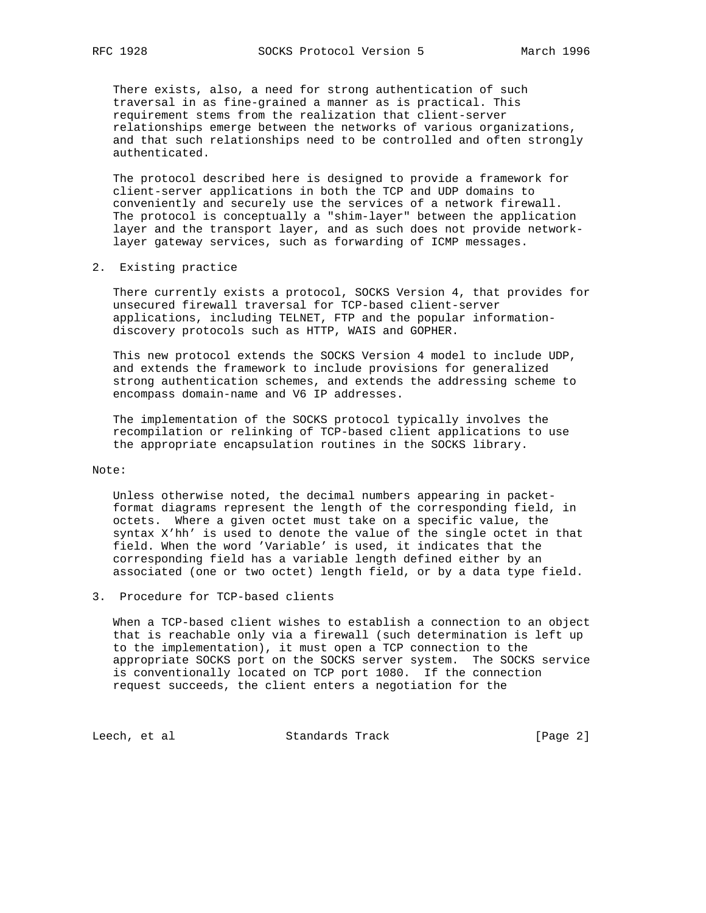There exists, also, a need for strong authentication of such traversal in as fine-grained a manner as is practical. This requirement stems from the realization that client-server relationships emerge between the networks of various organizations, and that such relationships need to be controlled and often strongly authenticated.

 The protocol described here is designed to provide a framework for client-server applications in both the TCP and UDP domains to conveniently and securely use the services of a network firewall. The protocol is conceptually a "shim-layer" between the application layer and the transport layer, and as such does not provide network layer gateway services, such as forwarding of ICMP messages.

2. Existing practice

 There currently exists a protocol, SOCKS Version 4, that provides for unsecured firewall traversal for TCP-based client-server applications, including TELNET, FTP and the popular information discovery protocols such as HTTP, WAIS and GOPHER.

 This new protocol extends the SOCKS Version 4 model to include UDP, and extends the framework to include provisions for generalized strong authentication schemes, and extends the addressing scheme to encompass domain-name and V6 IP addresses.

 The implementation of the SOCKS protocol typically involves the recompilation or relinking of TCP-based client applications to use the appropriate encapsulation routines in the SOCKS library.

### Note:

 Unless otherwise noted, the decimal numbers appearing in packet format diagrams represent the length of the corresponding field, in octets. Where a given octet must take on a specific value, the syntax X'hh' is used to denote the value of the single octet in that field. When the word 'Variable' is used, it indicates that the corresponding field has a variable length defined either by an associated (one or two octet) length field, or by a data type field.

3. Procedure for TCP-based clients

 When a TCP-based client wishes to establish a connection to an object that is reachable only via a firewall (such determination is left up to the implementation), it must open a TCP connection to the appropriate SOCKS port on the SOCKS server system. The SOCKS service is conventionally located on TCP port 1080. If the connection request succeeds, the client enters a negotiation for the

Leech, et al Standards Track [Page 2]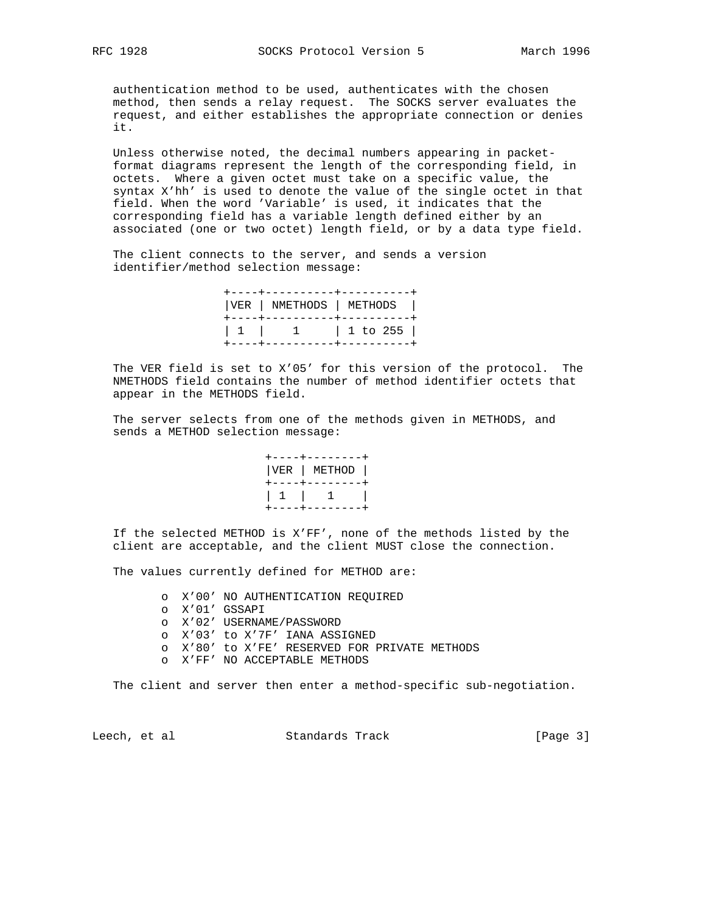authentication method to be used, authenticates with the chosen method, then sends a relay request. The SOCKS server evaluates the request, and either establishes the appropriate connection or denies it.

 Unless otherwise noted, the decimal numbers appearing in packet format diagrams represent the length of the corresponding field, in octets. Where a given octet must take on a specific value, the syntax X'hh' is used to denote the value of the single octet in that field. When the word 'Variable' is used, it indicates that the corresponding field has a variable length defined either by an associated (one or two octet) length field, or by a data type field.

 The client connects to the server, and sends a version identifier/method selection message:

|  | +----+----------+----------+<br>  VER   NMETHODS   METHODS  <br>+----+----------+----------- |
|--|----------------------------------------------------------------------------------------------|
|  | $1 1 1 1 1 1$ $1 1$ $1 0 255$                                                                |

 The VER field is set to X'05' for this version of the protocol. The NMETHODS field contains the number of method identifier octets that appear in the METHODS field.

 The server selects from one of the methods given in METHODS, and sends a METHOD selection message:

|  |  | +----+--------+<br>VER   METHOD  <br>+----+--------+ |  |
|--|--|------------------------------------------------------|--|
|  |  |                                                      |  |

 If the selected METHOD is X'FF', none of the methods listed by the client are acceptable, and the client MUST close the connection.

The values currently defined for METHOD are:

- o X'00' NO AUTHENTICATION REQUIRED
- o X'01' GSSAPI
- o X'02' USERNAME/PASSWORD
- o X'03' to X'7F' IANA ASSIGNED
- o X'80' to X'FE' RESERVED FOR PRIVATE METHODS
- o X'FF' NO ACCEPTABLE METHODS

The client and server then enter a method-specific sub-negotiation.

Leech, et al Standards Track [Page 3]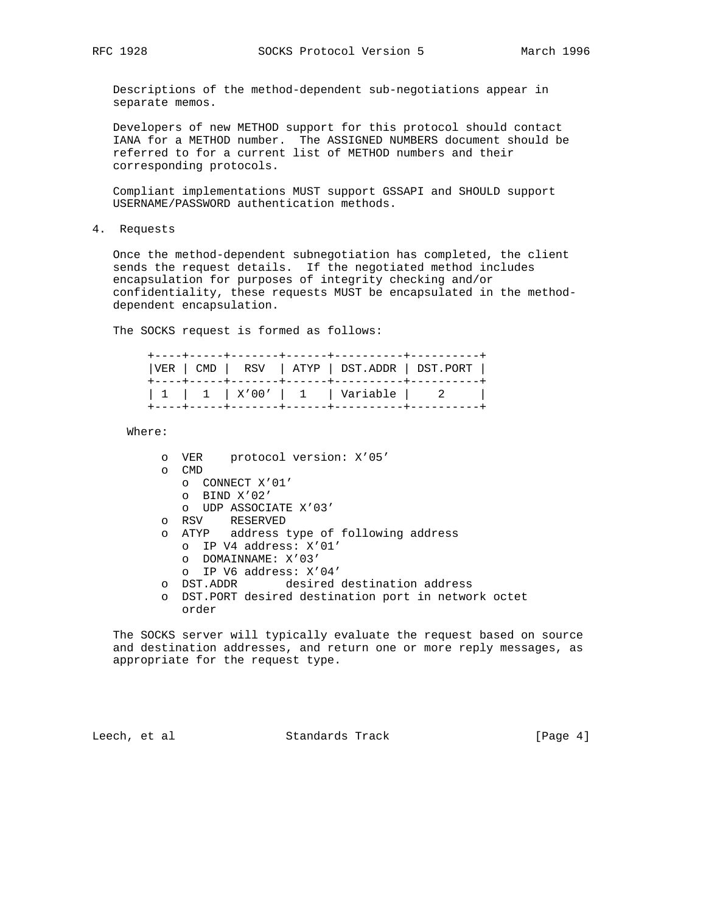Descriptions of the method-dependent sub-negotiations appear in separate memos.

 Developers of new METHOD support for this protocol should contact IANA for a METHOD number. The ASSIGNED NUMBERS document should be referred to for a current list of METHOD numbers and their corresponding protocols.

 Compliant implementations MUST support GSSAPI and SHOULD support USERNAME/PASSWORD authentication methods.

4. Requests

 Once the method-dependent subnegotiation has completed, the client sends the request details. If the negotiated method includes encapsulation for purposes of integrity checking and/or confidentiality, these requests MUST be encapsulated in the method dependent encapsulation.

The SOCKS request is formed as follows:

|  |  | $ VER   CMD   RSV   ATYPE   DST.ADDR   DST.PORT  $ |  |
|--|--|----------------------------------------------------|--|
|  |  | 1   1   X'00'   1   Variable   2                   |  |

Where:

| $\circ$ | protocol version: X'05'<br>VER                      |
|---------|-----------------------------------------------------|
| $\circ$ | <b>CMD</b>                                          |
|         | CONNECT X'01'<br>$\Omega$                           |
|         | BIND X'02'<br>$\Omega$                              |
|         | UDP ASSOCIATE X'03'<br>$\circ$                      |
| $\circ$ | RESERVED<br>RSV                                     |
| $\circ$ | ATYP address type of following address              |
|         | IP V4 address: X'01'<br>$\cap$                      |
|         | DOMAINNAME: X'03'<br>$\circ$                        |
|         | $O$ IP V6 address: $X'04'$                          |
| $\circ$ | desired destination address<br>DST.ADDR             |
| $\circ$ | DST. PORT desired destination port in network octet |
|         | order                                               |

 The SOCKS server will typically evaluate the request based on source and destination addresses, and return one or more reply messages, as appropriate for the request type.

Leech, et al Standards Track [Page 4]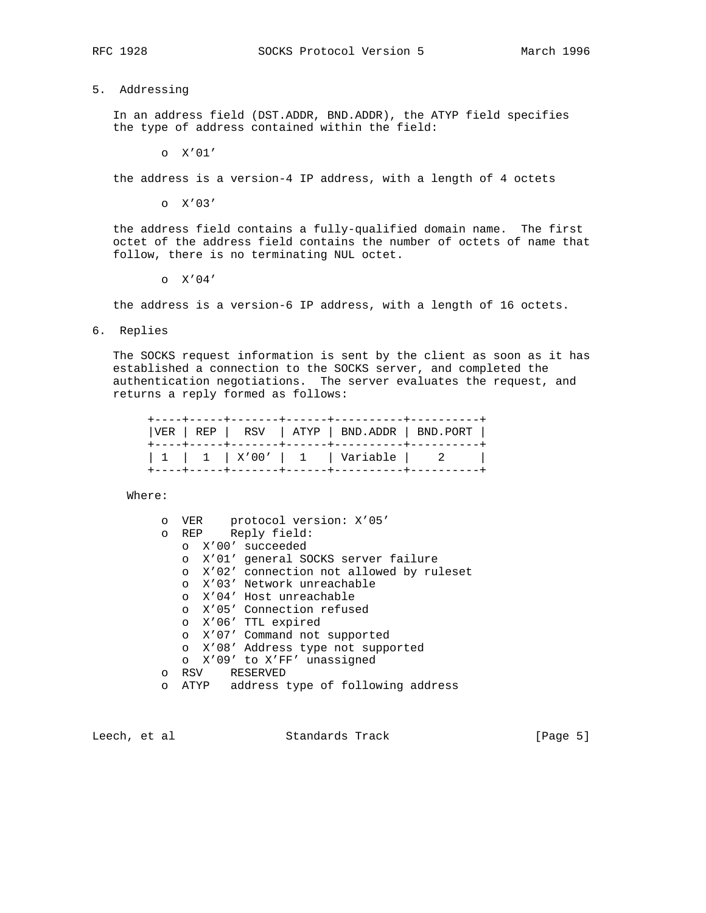## 5. Addressing

 In an address field (DST.ADDR, BND.ADDR), the ATYP field specifies the type of address contained within the field:

o X'01'

the address is a version-4 IP address, with a length of 4 octets

o X'03'

 the address field contains a fully-qualified domain name. The first octet of the address field contains the number of octets of name that follow, there is no terminating NUL octet.

o X'04'

the address is a version-6 IP address, with a length of 16 octets.

6. Replies

 The SOCKS request information is sent by the client as soon as it has established a connection to the SOCKS server, and completed the authentication negotiations. The server evaluates the request, and returns a reply formed as follows:

| $ VER   REP   RSV   ATP   BND.ADDR   BND.PORT  $ |  |
|--------------------------------------------------|--|
| 1   1   X'00'   1   Variable   2                 |  |

Where:

| O       | VER protocol version: X'05'                   |
|---------|-----------------------------------------------|
| $\circ$ | REP Reply field:                              |
|         | o X'00' succeeded                             |
|         | X'01' general SOCKS server failure<br>$\circ$ |
|         | o X'02' connection not allowed by ruleset     |
|         | o X'03' Network unreachable                   |
|         | o X'04' Host unreachable                      |
|         | o X'05' Connection refused                    |
|         | o X'06' TTL expired                           |
|         | o X'07' Command not supported                 |
|         | o X'08' Address type not supported            |
|         | o X'09' to X'FF' unassigned                   |
| $\circ$ | RSV RESERVED                                  |
| $\circ$ | ATYP address type of following address        |

Leech, et al Standards Track [Page 5]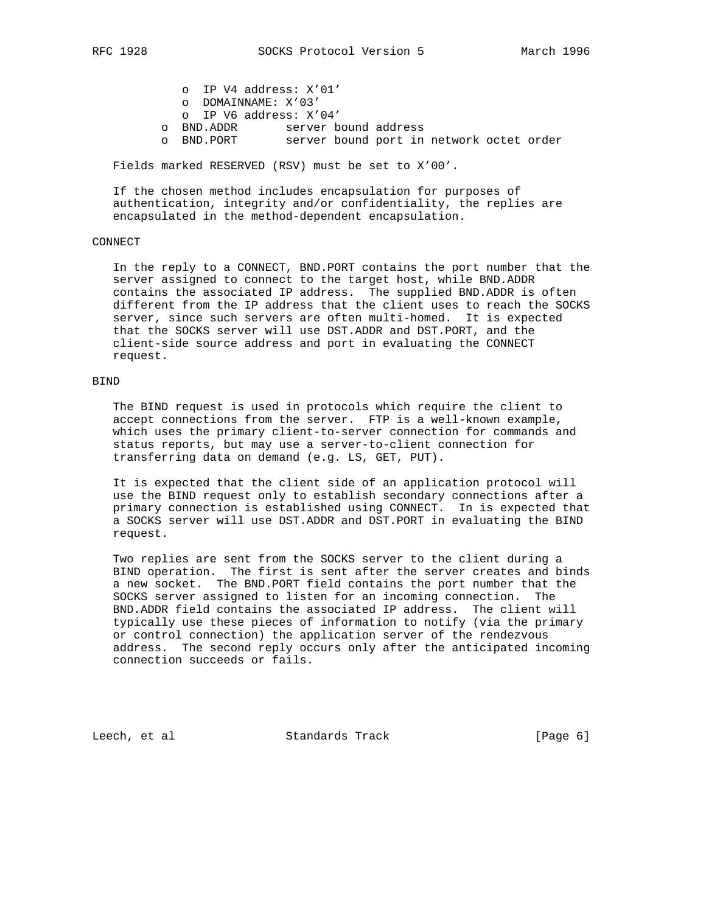o IP V4 address: X'01' o DOMAINNAME: X'03' o IP V6 address: X'04' o BND.ADDR server bound address o BND.PORT server bound port in network octet order

Fields marked RESERVED (RSV) must be set to X'00'.

 If the chosen method includes encapsulation for purposes of authentication, integrity and/or confidentiality, the replies are encapsulated in the method-dependent encapsulation.

## CONNECT

 In the reply to a CONNECT, BND.PORT contains the port number that the server assigned to connect to the target host, while BND.ADDR contains the associated IP address. The supplied BND.ADDR is often different from the IP address that the client uses to reach the SOCKS server, since such servers are often multi-homed. It is expected that the SOCKS server will use DST.ADDR and DST.PORT, and the client-side source address and port in evaluating the CONNECT request.

### BIND

 The BIND request is used in protocols which require the client to accept connections from the server. FTP is a well-known example, which uses the primary client-to-server connection for commands and status reports, but may use a server-to-client connection for transferring data on demand (e.g. LS, GET, PUT).

 It is expected that the client side of an application protocol will use the BIND request only to establish secondary connections after a primary connection is established using CONNECT. In is expected that a SOCKS server will use DST.ADDR and DST.PORT in evaluating the BIND request.

 Two replies are sent from the SOCKS server to the client during a BIND operation. The first is sent after the server creates and binds a new socket. The BND.PORT field contains the port number that the SOCKS server assigned to listen for an incoming connection. The BND.ADDR field contains the associated IP address. The client will typically use these pieces of information to notify (via the primary or control connection) the application server of the rendezvous address. The second reply occurs only after the anticipated incoming connection succeeds or fails.

Leech, et al Standards Track [Page 6]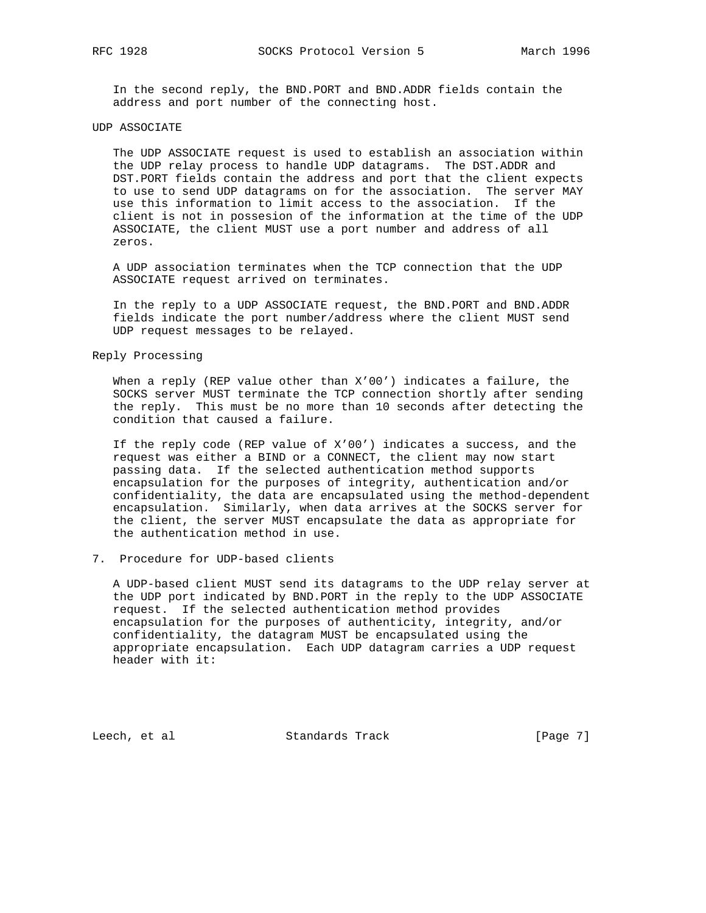In the second reply, the BND.PORT and BND.ADDR fields contain the address and port number of the connecting host.

#### UDP ASSOCIATE

 The UDP ASSOCIATE request is used to establish an association within the UDP relay process to handle UDP datagrams. The DST.ADDR and DST.PORT fields contain the address and port that the client expects to use to send UDP datagrams on for the association. The server MAY use this information to limit access to the association. If the client is not in possesion of the information at the time of the UDP ASSOCIATE, the client MUST use a port number and address of all zeros.

 A UDP association terminates when the TCP connection that the UDP ASSOCIATE request arrived on terminates.

 In the reply to a UDP ASSOCIATE request, the BND.PORT and BND.ADDR fields indicate the port number/address where the client MUST send UDP request messages to be relayed.

## Reply Processing

 When a reply (REP value other than X'00') indicates a failure, the SOCKS server MUST terminate the TCP connection shortly after sending the reply. This must be no more than 10 seconds after detecting the condition that caused a failure.

 If the reply code (REP value of X'00') indicates a success, and the request was either a BIND or a CONNECT, the client may now start passing data. If the selected authentication method supports encapsulation for the purposes of integrity, authentication and/or confidentiality, the data are encapsulated using the method-dependent encapsulation. Similarly, when data arrives at the SOCKS server for the client, the server MUST encapsulate the data as appropriate for the authentication method in use.

### 7. Procedure for UDP-based clients

 A UDP-based client MUST send its datagrams to the UDP relay server at the UDP port indicated by BND.PORT in the reply to the UDP ASSOCIATE request. If the selected authentication method provides encapsulation for the purposes of authenticity, integrity, and/or confidentiality, the datagram MUST be encapsulated using the appropriate encapsulation. Each UDP datagram carries a UDP request header with it:

Leech, et al Standards Track [Page 7]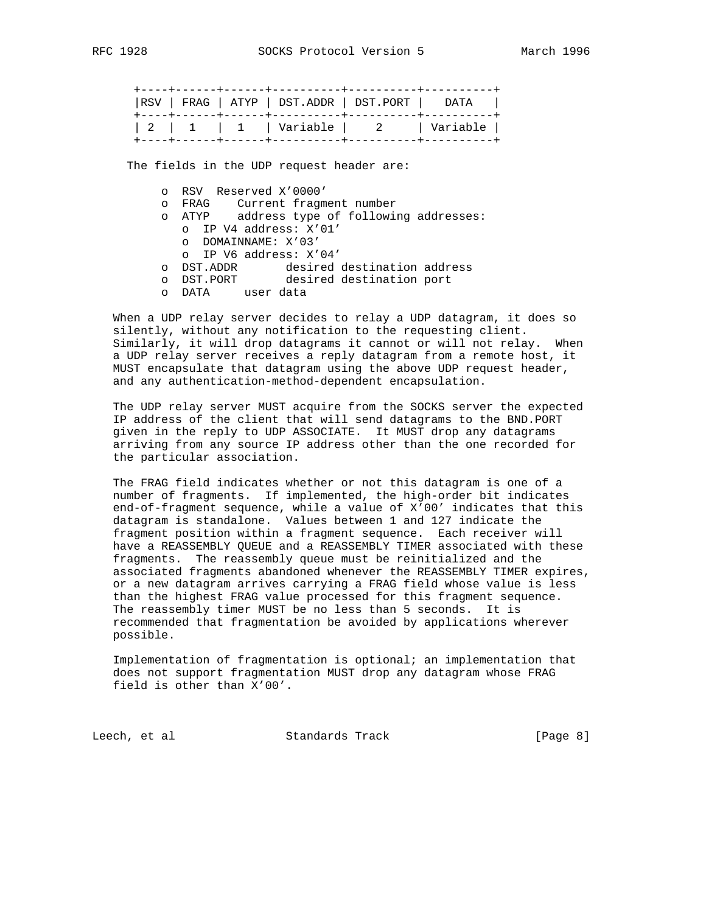| RSV   FRAG   ATYP   DST.ADDR   DST.PORT   DATA |  |
|------------------------------------------------|--|
| 2   1   1   Variable   2   Variable            |  |

The fields in the UDP request header are:

- o RSV Reserved X'0000'
- o FRAG Current fragment number
- o ATYP address type of following addresses:
	- o IP V4 address: X'01' o DOMAINNAME: X'03'
	- o IP V6 address: X'04'
- o DST.ADDR desired destination address
- o DST.PORT desired destination port
	- o DATA user data

 When a UDP relay server decides to relay a UDP datagram, it does so silently, without any notification to the requesting client. Similarly, it will drop datagrams it cannot or will not relay. When a UDP relay server receives a reply datagram from a remote host, it MUST encapsulate that datagram using the above UDP request header, and any authentication-method-dependent encapsulation.

 The UDP relay server MUST acquire from the SOCKS server the expected IP address of the client that will send datagrams to the BND.PORT given in the reply to UDP ASSOCIATE. It MUST drop any datagrams arriving from any source IP address other than the one recorded for the particular association.

 The FRAG field indicates whether or not this datagram is one of a number of fragments. If implemented, the high-order bit indicates end-of-fragment sequence, while a value of X'00' indicates that this datagram is standalone. Values between 1 and 127 indicate the fragment position within a fragment sequence. Each receiver will have a REASSEMBLY QUEUE and a REASSEMBLY TIMER associated with these fragments. The reassembly queue must be reinitialized and the associated fragments abandoned whenever the REASSEMBLY TIMER expires, or a new datagram arrives carrying a FRAG field whose value is less than the highest FRAG value processed for this fragment sequence. The reassembly timer MUST be no less than 5 seconds. It is recommended that fragmentation be avoided by applications wherever possible.

 Implementation of fragmentation is optional; an implementation that does not support fragmentation MUST drop any datagram whose FRAG field is other than X'00'.

Leech, et al **Standards Track** [Page 8]